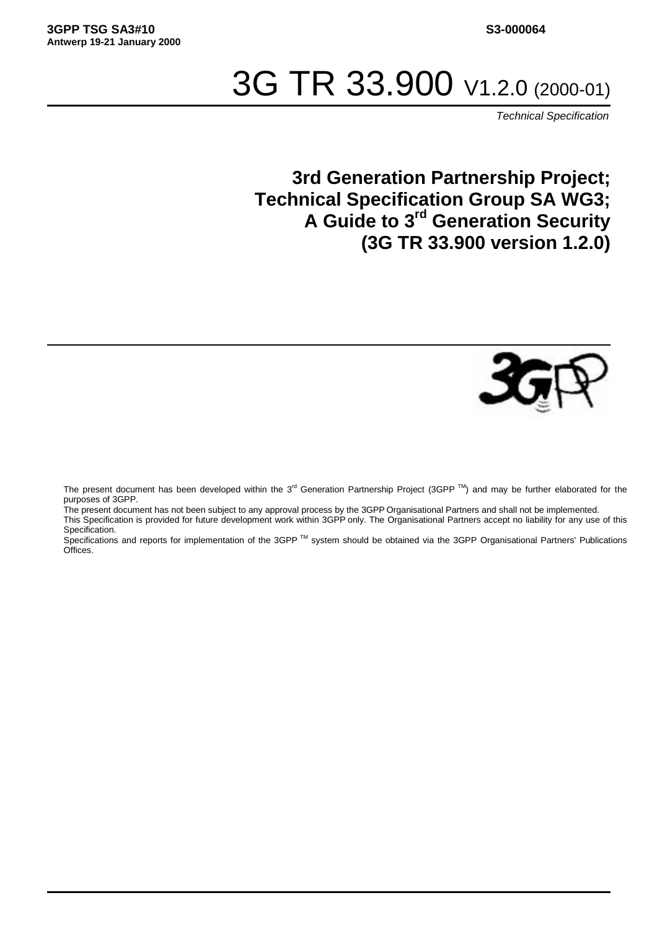# 3G TR 33.900 V1.2.0 (2000-01)

Technical Specification

# **3rd Generation Partnership Project; Technical Specification Group SA WG3; A Guide to 3rd Generation Security (3G TR 33.900 version 1.2.0)**



The present document has been developed within the 3<sup>rd</sup> Generation Partnership Project (3GPP  $^{TM}$ ) and may be further elaborated for the purposes of 3GPP.

The present document has not been subject to any approval process by the 3GPP Organisational Partners and shall not be implemented. This Specification is provided for future development work within 3GPP only. The Organisational Partners accept no liability for any use of this Specification.

Specifications and reports for implementation of the 3GPP TM system should be obtained via the 3GPP Organisational Partners' Publications Offices.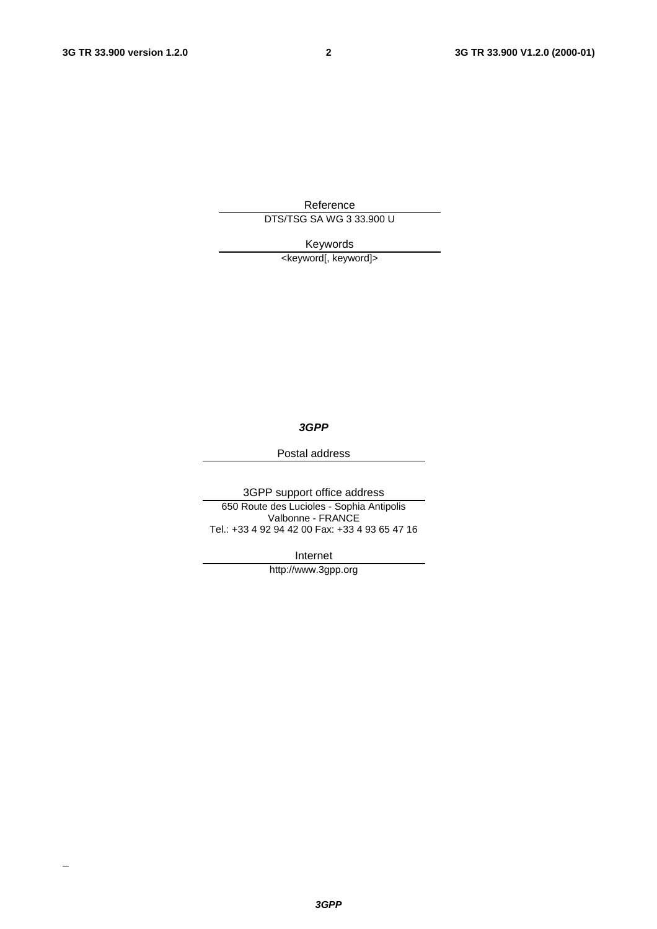$\overline{\phantom{a}}$ 

Reference

DTS/TSG SA WG 3 33.900 U

Keywords

<keyword[, keyword]>

**3GPP**

Postal address

3GPP support office address

650 Route des Lucioles - Sophia Antipolis Valbonne - FRANCE Tel.: +33 4 92 94 42 00 Fax: +33 4 93 65 47 16

Internet

http://www.3gpp.org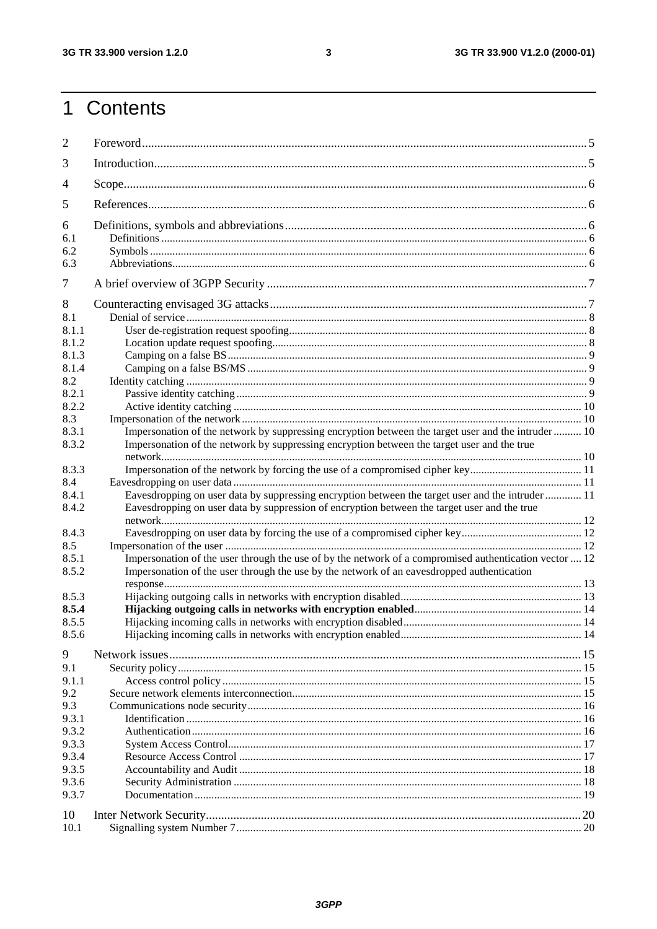# 1 Contents

| $\overline{2}$ |                                                                                                        |  |
|----------------|--------------------------------------------------------------------------------------------------------|--|
| 3              |                                                                                                        |  |
| 4              |                                                                                                        |  |
| 5              |                                                                                                        |  |
| 6<br>6.1       |                                                                                                        |  |
| 6.2<br>6.3     |                                                                                                        |  |
| 7              |                                                                                                        |  |
| 8              |                                                                                                        |  |
| 8.1            |                                                                                                        |  |
| 8.1.1          |                                                                                                        |  |
| 8.1.2          |                                                                                                        |  |
| 8.1.3          |                                                                                                        |  |
| 8.1.4          |                                                                                                        |  |
| 8.2            |                                                                                                        |  |
| 8.2.1          |                                                                                                        |  |
| 8.2.2          |                                                                                                        |  |
| 8.3            |                                                                                                        |  |
| 8.3.1          | Impersonation of the network by suppressing encryption between the target user and the intruder  10    |  |
| 8.3.2          | Impersonation of the network by suppressing encryption between the target user and the true            |  |
| 8.3.3          | Impersonation of the network by forcing the use of a compromised cipher key11                          |  |
| 8.4            |                                                                                                        |  |
| 8.4.1          | Eavesdropping on user data by suppressing encryption between the target user and the intruder  11      |  |
| 8.4.2          | Eavesdropping on user data by suppression of encryption between the target user and the true           |  |
| 8.4.3          |                                                                                                        |  |
| 8.5            |                                                                                                        |  |
| 8.5.1          | Impersonation of the user through the use of by the network of a compromised authentication vector  12 |  |
| 8.5.2          | Impersonation of the user through the use by the network of an eavesdropped authentication             |  |
| 8.5.3          |                                                                                                        |  |
| 8.5.4          |                                                                                                        |  |
| 8.5.5          |                                                                                                        |  |
| 8.5.6          |                                                                                                        |  |
|                |                                                                                                        |  |
| 9              |                                                                                                        |  |
| 9.1            |                                                                                                        |  |
| 9.1.1          |                                                                                                        |  |
| 9.2            |                                                                                                        |  |
| 9.3            |                                                                                                        |  |
| 9.3.1          |                                                                                                        |  |
| 9.3.2          |                                                                                                        |  |
| 9.3.3          |                                                                                                        |  |
| 9.3.4          |                                                                                                        |  |
| 9.3.5          |                                                                                                        |  |
| 9.3.6          |                                                                                                        |  |
| 9.3.7          |                                                                                                        |  |
| 10<br>10.1     |                                                                                                        |  |
|                |                                                                                                        |  |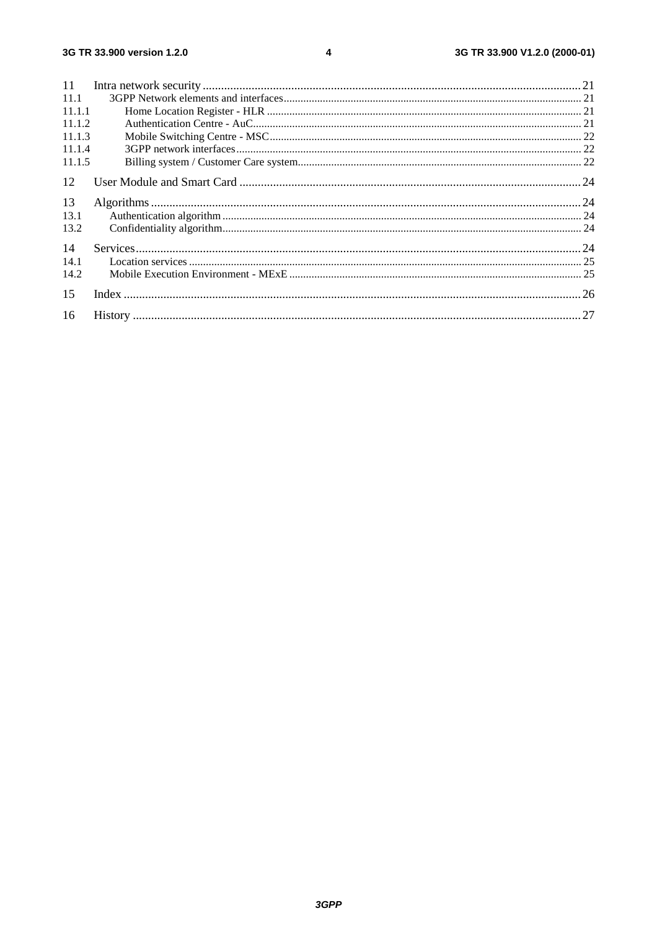| 11     |  |
|--------|--|
| 11.1   |  |
| 11.1.1 |  |
| 11.1.2 |  |
| 11.1.3 |  |
| 11.1.4 |  |
| 11.1.5 |  |
| 12     |  |
| 13     |  |
| 13.1   |  |
| 13.2   |  |
| 14     |  |
| 14.1   |  |
| 14.2   |  |
| 15     |  |
| 16     |  |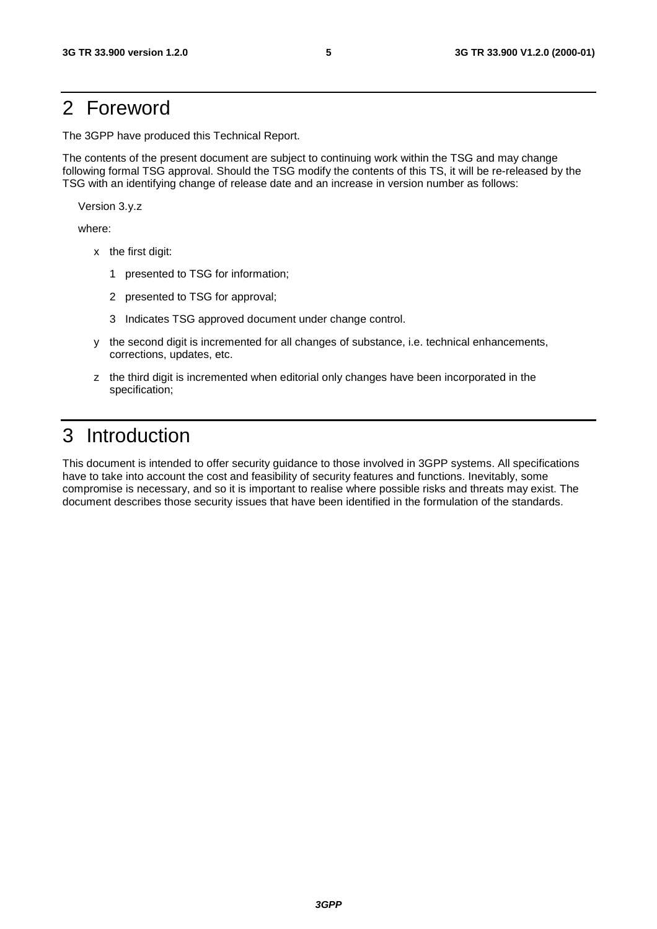# 2 Foreword

The 3GPP have produced this Technical Report.

The contents of the present document are subject to continuing work within the TSG and may change following formal TSG approval. Should the TSG modify the contents of this TS, it will be re-released by the TSG with an identifying change of release date and an increase in version number as follows:

Version 3.y.z

where:

- x the first digit:
	- 1 presented to TSG for information;
	- 2 presented to TSG for approval;
	- 3 Indicates TSG approved document under change control.
- y the second digit is incremented for all changes of substance, i.e. technical enhancements, corrections, updates, etc.
- z the third digit is incremented when editorial only changes have been incorporated in the specification;

# 3 Introduction

This document is intended to offer security guidance to those involved in 3GPP systems. All specifications have to take into account the cost and feasibility of security features and functions. Inevitably, some compromise is necessary, and so it is important to realise where possible risks and threats may exist. The document describes those security issues that have been identified in the formulation of the standards.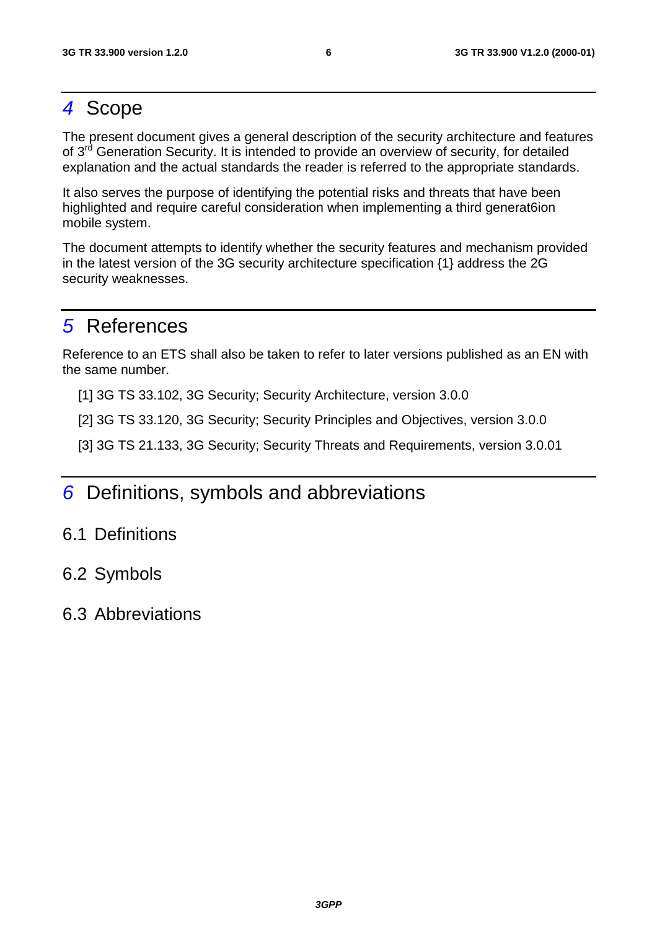# 4 Scope

The present document gives a general description of the security architecture and features of 3<sup>rd</sup> Generation Security. It is intended to provide an overview of security, for detailed explanation and the actual standards the reader is referred to the appropriate standards.

It also serves the purpose of identifying the potential risks and threats that have been highlighted and require careful consideration when implementing a third generat6ion mobile system.

The document attempts to identify whether the security features and mechanism provided in the latest version of the 3G security architecture specification {1} address the 2G security weaknesses.

# 5 References

Reference to an ETS shall also be taken to refer to later versions published as an EN with the same number.

[1] 3G TS 33.102, 3G Security; Security Architecture, version 3.0.0

[2] 3G TS 33.120, 3G Security; Security Principles and Objectives, version 3.0.0

[3] 3G TS 21.133, 3G Security; Security Threats and Requirements, version 3.0.01

# 6 Definitions, symbols and abbreviations

# 6.1 Definitions

# 6.2 Symbols

# 6.3 Abbreviations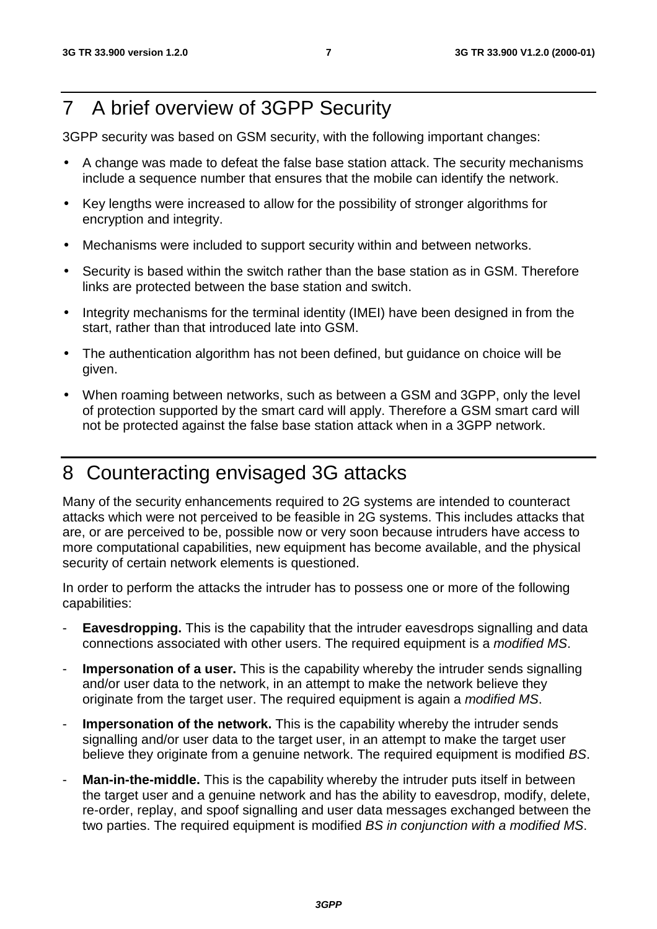# 7 A brief overview of 3GPP Security

3GPP security was based on GSM security, with the following important changes:

- A change was made to defeat the false base station attack. The security mechanisms include a sequence number that ensures that the mobile can identify the network.
- Key lengths were increased to allow for the possibility of stronger algorithms for encryption and integrity.
- Mechanisms were included to support security within and between networks.
- Security is based within the switch rather than the base station as in GSM. Therefore links are protected between the base station and switch.
- Integrity mechanisms for the terminal identity (IMEI) have been designed in from the start, rather than that introduced late into GSM.
- The authentication algorithm has not been defined, but guidance on choice will be given.
- When roaming between networks, such as between a GSM and 3GPP, only the level of protection supported by the smart card will apply. Therefore a GSM smart card will not be protected against the false base station attack when in a 3GPP network.

# 8 Counteracting envisaged 3G attacks

Many of the security enhancements required to 2G systems are intended to counteract attacks which were not perceived to be feasible in 2G systems. This includes attacks that are, or are perceived to be, possible now or very soon because intruders have access to more computational capabilities, new equipment has become available, and the physical security of certain network elements is questioned.

In order to perform the attacks the intruder has to possess one or more of the following capabilities:

- **Eavesdropping.** This is the capability that the intruder eavesdrops signalling and data connections associated with other users. The required equipment is a modified MS.
- **Impersonation of a user.** This is the capability whereby the intruder sends signalling and/or user data to the network, in an attempt to make the network believe they originate from the target user. The required equipment is again a *modified MS*.
- **Impersonation of the network.** This is the capability whereby the intruder sends signalling and/or user data to the target user, in an attempt to make the target user believe they originate from a genuine network. The required equipment is modified BS.
- **Man-in-the-middle.** This is the capability whereby the intruder puts itself in between the target user and a genuine network and has the ability to eavesdrop, modify, delete, re-order, replay, and spoof signalling and user data messages exchanged between the two parties. The required equipment is modified BS in conjunction with a modified MS.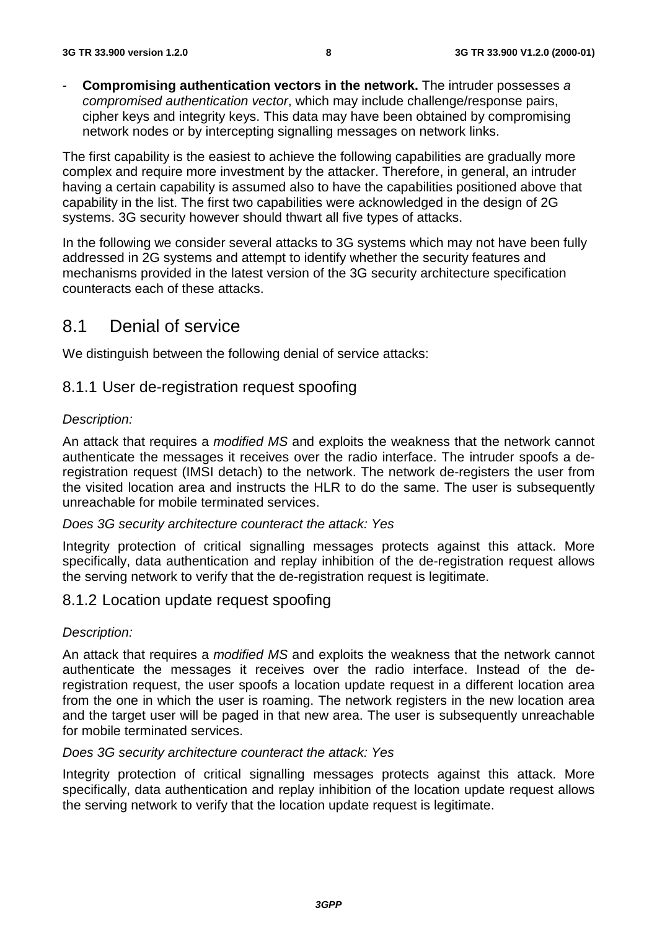Compromising authentication vectors in the network. The intruder possesses a compromised authentication vector, which may include challenge/response pairs, cipher keys and integrity keys. This data may have been obtained by compromising network nodes or by intercepting signalling messages on network links.

The first capability is the easiest to achieve the following capabilities are gradually more complex and require more investment by the attacker. Therefore, in general, an intruder having a certain capability is assumed also to have the capabilities positioned above that capability in the list. The first two capabilities were acknowledged in the design of 2G systems. 3G security however should thwart all five types of attacks.

In the following we consider several attacks to 3G systems which may not have been fully addressed in 2G systems and attempt to identify whether the security features and mechanisms provided in the latest version of the 3G security architecture specification counteracts each of these attacks.

# 8.1 Denial of service

We distinguish between the following denial of service attacks:

### 8.1.1 User de-registration request spoofing

### Description:

An attack that requires a *modified MS* and exploits the weakness that the network cannot authenticate the messages it receives over the radio interface. The intruder spoofs a deregistration request (IMSI detach) to the network. The network de-registers the user from the visited location area and instructs the HLR to do the same. The user is subsequently unreachable for mobile terminated services.

#### Does 3G security architecture counteract the attack: Yes

Integrity protection of critical signalling messages protects against this attack. More specifically, data authentication and replay inhibition of the de-registration request allows the serving network to verify that the de-registration request is legitimate.

### 8.1.2 Location update request spoofing

### Description:

An attack that requires a *modified MS* and exploits the weakness that the network cannot authenticate the messages it receives over the radio interface. Instead of the deregistration request, the user spoofs a location update request in a different location area from the one in which the user is roaming. The network registers in the new location area and the target user will be paged in that new area. The user is subsequently unreachable for mobile terminated services.

#### Does 3G security architecture counteract the attack: Yes

Integrity protection of critical signalling messages protects against this attack. More specifically, data authentication and replay inhibition of the location update request allows the serving network to verify that the location update request is legitimate.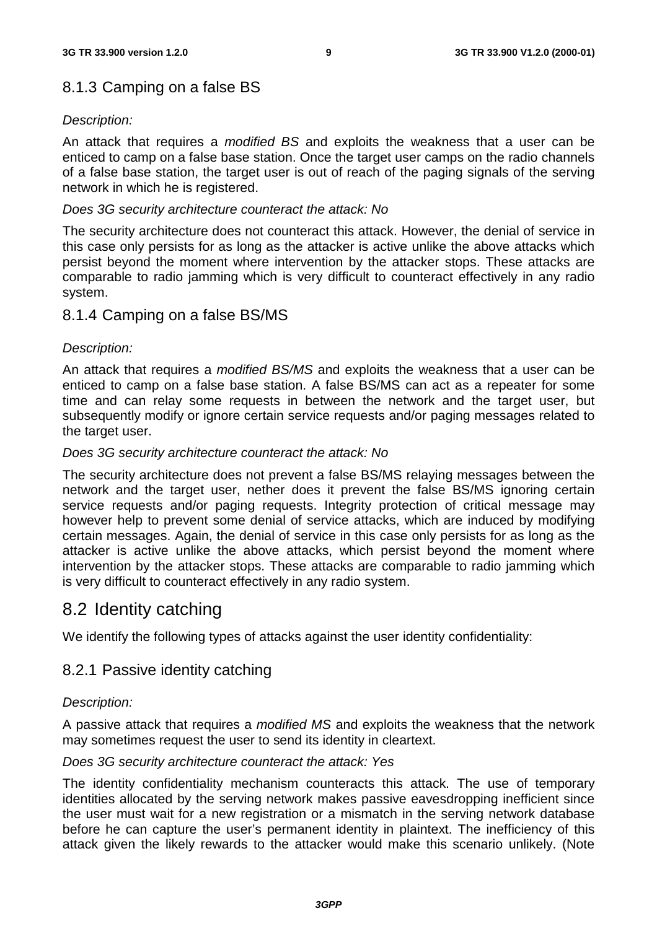# 8.1.3 Camping on a false BS

### Description:

An attack that requires a *modified BS* and exploits the weakness that a user can be enticed to camp on a false base station. Once the target user camps on the radio channels of a false base station, the target user is out of reach of the paging signals of the serving network in which he is registered.

#### Does 3G security architecture counteract the attack: No

The security architecture does not counteract this attack. However, the denial of service in this case only persists for as long as the attacker is active unlike the above attacks which persist beyond the moment where intervention by the attacker stops. These attacks are comparable to radio jamming which is very difficult to counteract effectively in any radio system.

# 8.1.4 Camping on a false BS/MS

### Description:

An attack that requires a *modified BS/MS* and exploits the weakness that a user can be enticed to camp on a false base station. A false BS/MS can act as a repeater for some time and can relay some requests in between the network and the target user, but subsequently modify or ignore certain service requests and/or paging messages related to the target user.

### Does 3G security architecture counteract the attack: No

The security architecture does not prevent a false BS/MS relaying messages between the network and the target user, nether does it prevent the false BS/MS ignoring certain service requests and/or paging requests. Integrity protection of critical message may however help to prevent some denial of service attacks, which are induced by modifying certain messages. Again, the denial of service in this case only persists for as long as the attacker is active unlike the above attacks, which persist beyond the moment where intervention by the attacker stops. These attacks are comparable to radio jamming which is very difficult to counteract effectively in any radio system.

# 8.2 Identity catching

We identify the following types of attacks against the user identity confidentiality:

# 8.2.1 Passive identity catching

### Description:

A passive attack that requires a modified MS and exploits the weakness that the network may sometimes request the user to send its identity in cleartext.

### Does 3G security architecture counteract the attack: Yes

The identity confidentiality mechanism counteracts this attack. The use of temporary identities allocated by the serving network makes passive eavesdropping inefficient since the user must wait for a new registration or a mismatch in the serving network database before he can capture the user's permanent identity in plaintext. The inefficiency of this attack given the likely rewards to the attacker would make this scenario unlikely. (Note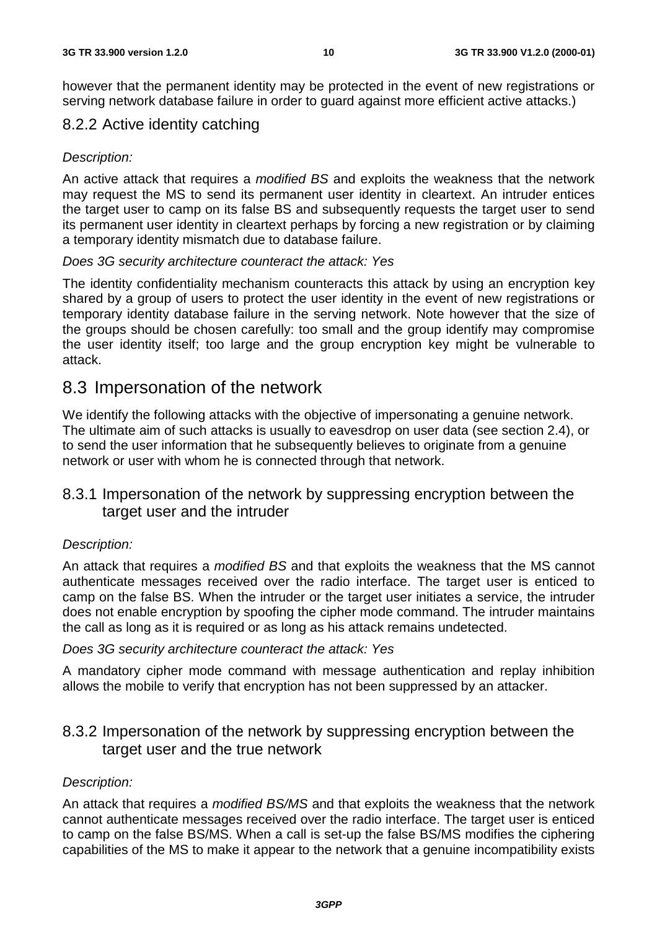however that the permanent identity may be protected in the event of new registrations or serving network database failure in order to guard against more efficient active attacks.)

# 8.2.2 Active identity catching

### Description:

An active attack that requires a *modified BS* and exploits the weakness that the network may request the MS to send its permanent user identity in cleartext. An intruder entices the target user to camp on its false BS and subsequently requests the target user to send its permanent user identity in cleartext perhaps by forcing a new registration or by claiming a temporary identity mismatch due to database failure.

### Does 3G security architecture counteract the attack: Yes

The identity confidentiality mechanism counteracts this attack by using an encryption key shared by a group of users to protect the user identity in the event of new registrations or temporary identity database failure in the serving network. Note however that the size of the groups should be chosen carefully: too small and the group identify may compromise the user identity itself; too large and the group encryption key might be vulnerable to attack.

# 8.3 Impersonation of the network

We identify the following attacks with the objective of impersonating a genuine network. The ultimate aim of such attacks is usually to eavesdrop on user data (see section 2.4), or to send the user information that he subsequently believes to originate from a genuine network or user with whom he is connected through that network.

# 8.3.1 Impersonation of the network by suppressing encryption between the target user and the intruder

### Description:

An attack that requires a *modified BS* and that exploits the weakness that the MS cannot authenticate messages received over the radio interface. The target user is enticed to camp on the false BS. When the intruder or the target user initiates a service, the intruder does not enable encryption by spoofing the cipher mode command. The intruder maintains the call as long as it is required or as long as his attack remains undetected.

### Does 3G security architecture counteract the attack: Yes

A mandatory cipher mode command with message authentication and replay inhibition allows the mobile to verify that encryption has not been suppressed by an attacker.

# 8.3.2 Impersonation of the network by suppressing encryption between the target user and the true network

# Description:

An attack that requires a *modified BS/MS* and that exploits the weakness that the network cannot authenticate messages received over the radio interface. The target user is enticed to camp on the false BS/MS. When a call is set-up the false BS/MS modifies the ciphering capabilities of the MS to make it appear to the network that a genuine incompatibility exists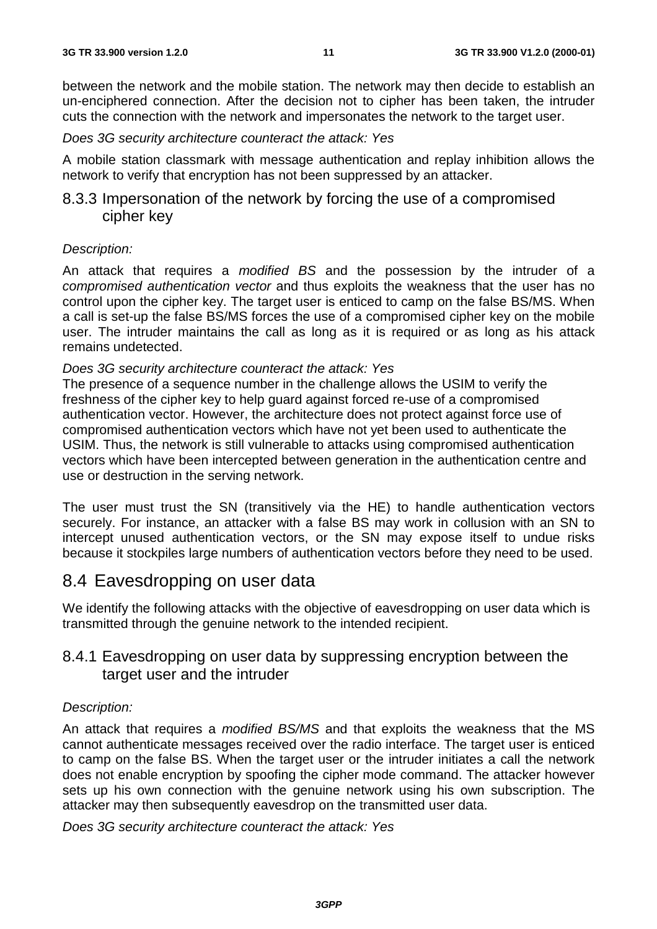between the network and the mobile station. The network may then decide to establish an un-enciphered connection. After the decision not to cipher has been taken, the intruder cuts the connection with the network and impersonates the network to the target user.

Does 3G security architecture counteract the attack: Yes

A mobile station classmark with message authentication and replay inhibition allows the network to verify that encryption has not been suppressed by an attacker.

# 8.3.3 Impersonation of the network by forcing the use of a compromised cipher key

### Description:

An attack that requires a modified BS and the possession by the intruder of a compromised authentication vector and thus exploits the weakness that the user has no control upon the cipher key. The target user is enticed to camp on the false BS/MS. When a call is set-up the false BS/MS forces the use of a compromised cipher key on the mobile user. The intruder maintains the call as long as it is required or as long as his attack remains undetected.

#### Does 3G security architecture counteract the attack: Yes

The presence of a sequence number in the challenge allows the USIM to verify the freshness of the cipher key to help guard against forced re-use of a compromised authentication vector. However, the architecture does not protect against force use of compromised authentication vectors which have not yet been used to authenticate the USIM. Thus, the network is still vulnerable to attacks using compromised authentication vectors which have been intercepted between generation in the authentication centre and use or destruction in the serving network.

The user must trust the SN (transitively via the HE) to handle authentication vectors securely. For instance, an attacker with a false BS may work in collusion with an SN to intercept unused authentication vectors, or the SN may expose itself to undue risks because it stockpiles large numbers of authentication vectors before they need to be used.

# 8.4 Eavesdropping on user data

We identify the following attacks with the objective of eavesdropping on user data which is transmitted through the genuine network to the intended recipient.

# 8.4.1 Eavesdropping on user data by suppressing encryption between the target user and the intruder

### Description:

An attack that requires a *modified BS/MS* and that exploits the weakness that the MS cannot authenticate messages received over the radio interface. The target user is enticed to camp on the false BS. When the target user or the intruder initiates a call the network does not enable encryption by spoofing the cipher mode command. The attacker however sets up his own connection with the genuine network using his own subscription. The attacker may then subsequently eavesdrop on the transmitted user data.

Does 3G security architecture counteract the attack: Yes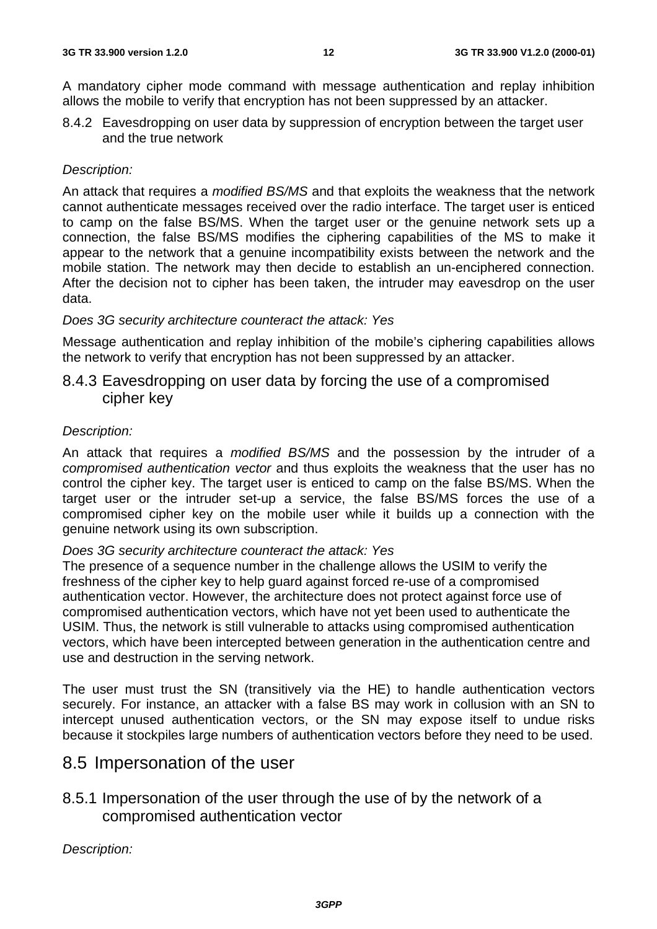A mandatory cipher mode command with message authentication and replay inhibition allows the mobile to verify that encryption has not been suppressed by an attacker.

8.4.2 Eavesdropping on user data by suppression of encryption between the target user and the true network

### Description:

An attack that requires a *modified BS/MS* and that exploits the weakness that the network cannot authenticate messages received over the radio interface. The target user is enticed to camp on the false BS/MS. When the target user or the genuine network sets up a connection, the false BS/MS modifies the ciphering capabilities of the MS to make it appear to the network that a genuine incompatibility exists between the network and the mobile station. The network may then decide to establish an un-enciphered connection. After the decision not to cipher has been taken, the intruder may eavesdrop on the user data.

#### Does 3G security architecture counteract the attack: Yes

Message authentication and replay inhibition of the mobile's ciphering capabilities allows the network to verify that encryption has not been suppressed by an attacker.

# 8.4.3 Eavesdropping on user data by forcing the use of a compromised cipher key

#### Description:

An attack that requires a *modified BS/MS* and the possession by the intruder of a compromised authentication vector and thus exploits the weakness that the user has no control the cipher key. The target user is enticed to camp on the false BS/MS. When the target user or the intruder set-up a service, the false BS/MS forces the use of a compromised cipher key on the mobile user while it builds up a connection with the genuine network using its own subscription.

#### Does 3G security architecture counteract the attack: Yes

The presence of a sequence number in the challenge allows the USIM to verify the freshness of the cipher key to help guard against forced re-use of a compromised authentication vector. However, the architecture does not protect against force use of compromised authentication vectors, which have not yet been used to authenticate the USIM. Thus, the network is still vulnerable to attacks using compromised authentication vectors, which have been intercepted between generation in the authentication centre and use and destruction in the serving network.

The user must trust the SN (transitively via the HE) to handle authentication vectors securely. For instance, an attacker with a false BS may work in collusion with an SN to intercept unused authentication vectors, or the SN may expose itself to undue risks because it stockpiles large numbers of authentication vectors before they need to be used.

# 8.5 Impersonation of the user

# 8.5.1 Impersonation of the user through the use of by the network of a compromised authentication vector

Description: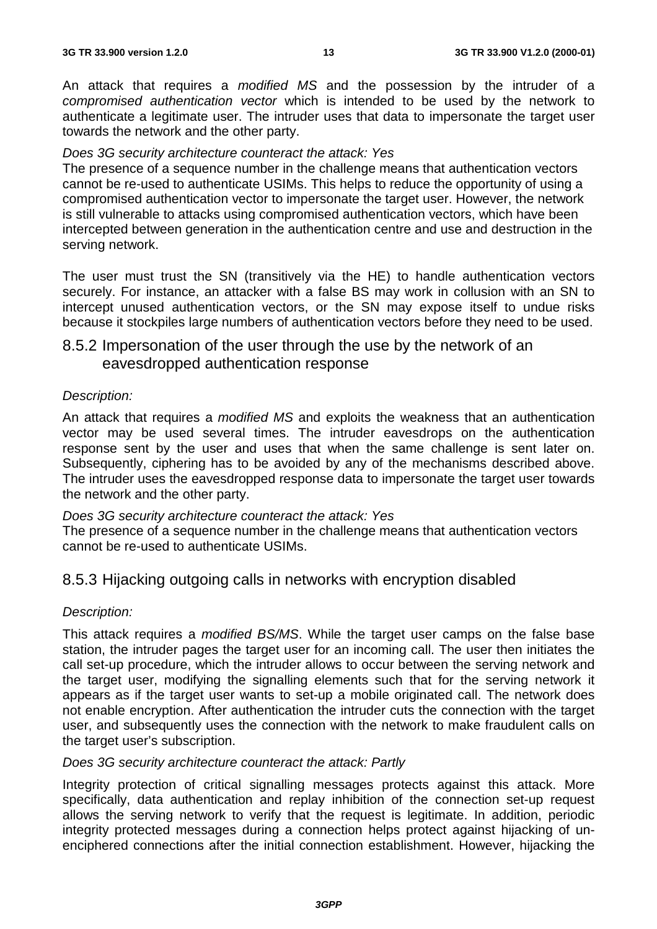An attack that requires a *modified MS* and the possession by the intruder of a compromised authentication vector which is intended to be used by the network to authenticate a legitimate user. The intruder uses that data to impersonate the target user towards the network and the other party.

#### Does 3G security architecture counteract the attack: Yes

The presence of a sequence number in the challenge means that authentication vectors cannot be re-used to authenticate USIMs. This helps to reduce the opportunity of using a compromised authentication vector to impersonate the target user. However, the network is still vulnerable to attacks using compromised authentication vectors, which have been intercepted between generation in the authentication centre and use and destruction in the serving network.

The user must trust the SN (transitively via the HE) to handle authentication vectors securely. For instance, an attacker with a false BS may work in collusion with an SN to intercept unused authentication vectors, or the SN may expose itself to undue risks because it stockpiles large numbers of authentication vectors before they need to be used.

# 8.5.2 Impersonation of the user through the use by the network of an eavesdropped authentication response

### Description:

An attack that requires a *modified MS* and exploits the weakness that an authentication vector may be used several times. The intruder eavesdrops on the authentication response sent by the user and uses that when the same challenge is sent later on. Subsequently, ciphering has to be avoided by any of the mechanisms described above. The intruder uses the eavesdropped response data to impersonate the target user towards the network and the other party.

#### Does 3G security architecture counteract the attack: Yes

The presence of a sequence number in the challenge means that authentication vectors cannot be re-used to authenticate USIMs.

# 8.5.3 Hijacking outgoing calls in networks with encryption disabled

#### Description:

This attack requires a modified BS/MS. While the target user camps on the false base station, the intruder pages the target user for an incoming call. The user then initiates the call set-up procedure, which the intruder allows to occur between the serving network and the target user, modifying the signalling elements such that for the serving network it appears as if the target user wants to set-up a mobile originated call. The network does not enable encryption. After authentication the intruder cuts the connection with the target user, and subsequently uses the connection with the network to make fraudulent calls on the target user's subscription.

### Does 3G security architecture counteract the attack: Partly

Integrity protection of critical signalling messages protects against this attack. More specifically, data authentication and replay inhibition of the connection set-up request allows the serving network to verify that the request is legitimate. In addition, periodic integrity protected messages during a connection helps protect against hijacking of unenciphered connections after the initial connection establishment. However, hijacking the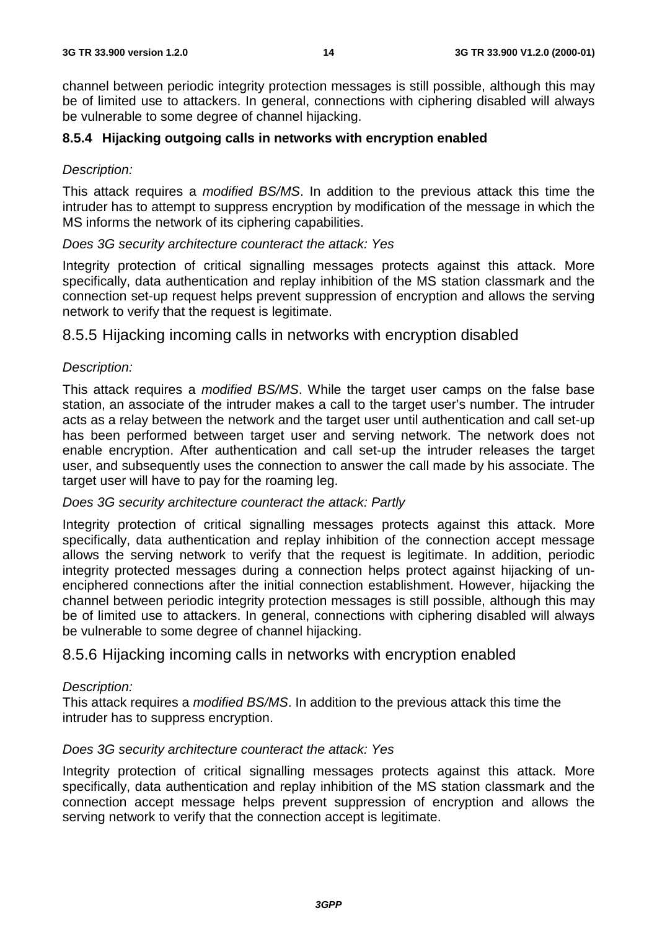channel between periodic integrity protection messages is still possible, although this may be of limited use to attackers. In general, connections with ciphering disabled will always be vulnerable to some degree of channel hijacking.

### **8.5.4 Hijacking outgoing calls in networks with encryption enabled**

### Description:

This attack requires a modified BS/MS. In addition to the previous attack this time the intruder has to attempt to suppress encryption by modification of the message in which the MS informs the network of its ciphering capabilities.

Does 3G security architecture counteract the attack: Yes

Integrity protection of critical signalling messages protects against this attack. More specifically, data authentication and replay inhibition of the MS station classmark and the connection set-up request helps prevent suppression of encryption and allows the serving network to verify that the request is legitimate.

8.5.5 Hijacking incoming calls in networks with encryption disabled

### Description:

This attack requires a modified BS/MS. While the target user camps on the false base station, an associate of the intruder makes a call to the target user's number. The intruder acts as a relay between the network and the target user until authentication and call set-up has been performed between target user and serving network. The network does not enable encryption. After authentication and call set-up the intruder releases the target user, and subsequently uses the connection to answer the call made by his associate. The target user will have to pay for the roaming leg.

### Does 3G security architecture counteract the attack: Partly

Integrity protection of critical signalling messages protects against this attack. More specifically, data authentication and replay inhibition of the connection accept message allows the serving network to verify that the request is legitimate. In addition, periodic integrity protected messages during a connection helps protect against hijacking of unenciphered connections after the initial connection establishment. However, hijacking the channel between periodic integrity protection messages is still possible, although this may be of limited use to attackers. In general, connections with ciphering disabled will always be vulnerable to some degree of channel hijacking.

# 8.5.6 Hijacking incoming calls in networks with encryption enabled

### Description:

This attack requires a modified BS/MS. In addition to the previous attack this time the intruder has to suppress encryption.

### Does 3G security architecture counteract the attack: Yes

Integrity protection of critical signalling messages protects against this attack. More specifically, data authentication and replay inhibition of the MS station classmark and the connection accept message helps prevent suppression of encryption and allows the serving network to verify that the connection accept is legitimate.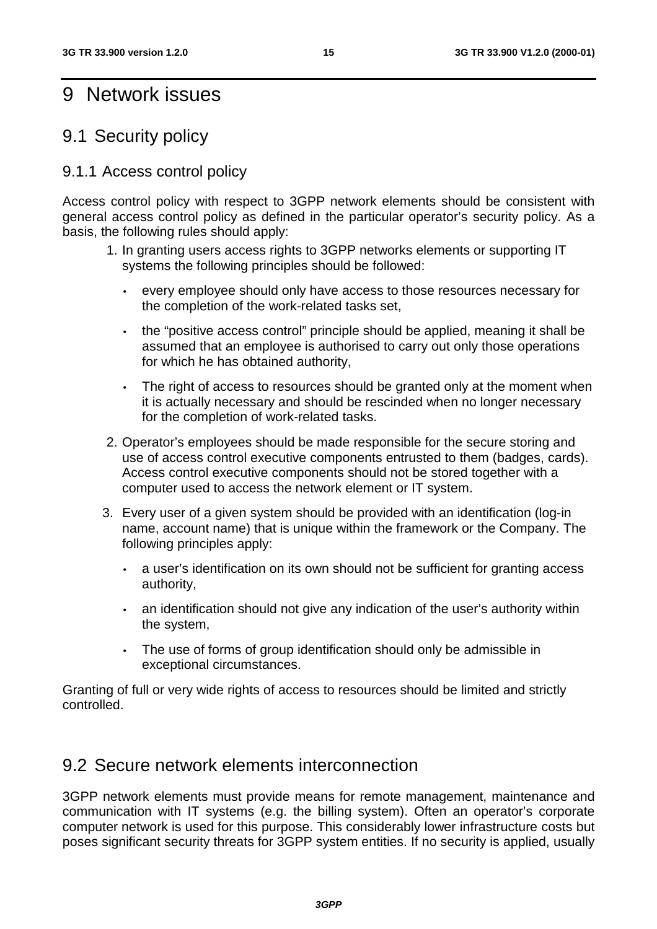# 9 Network issues

# 9.1 Security policy

# 9.1.1 Access control policy

Access control policy with respect to 3GPP network elements should be consistent with general access control policy as defined in the particular operator's security policy. As a basis, the following rules should apply:

- 1. In granting users access rights to 3GPP networks elements or supporting IT systems the following principles should be followed:
	- every employee should only have access to those resources necessary for the completion of the work-related tasks set,
	- the "positive access control" principle should be applied, meaning it shall be assumed that an employee is authorised to carry out only those operations for which he has obtained authority,
	- The right of access to resources should be granted only at the moment when it is actually necessary and should be rescinded when no longer necessary for the completion of work-related tasks.
- 2. Operator's employees should be made responsible for the secure storing and use of access control executive components entrusted to them (badges, cards). Access control executive components should not be stored together with a computer used to access the network element or IT system.
- 3. Every user of a given system should be provided with an identification (log-in name, account name) that is unique within the framework or the Company. The following principles apply:
	- a user's identification on its own should not be sufficient for granting access authority,
	- an identification should not give any indication of the user's authority within the system,
	- The use of forms of group identification should only be admissible in exceptional circumstances.

Granting of full or very wide rights of access to resources should be limited and strictly controlled.

# 9.2 Secure network elements interconnection

3GPP network elements must provide means for remote management, maintenance and communication with IT systems (e.g. the billing system). Often an operator's corporate computer network is used for this purpose. This considerably lower infrastructure costs but poses significant security threats for 3GPP system entities. If no security is applied, usually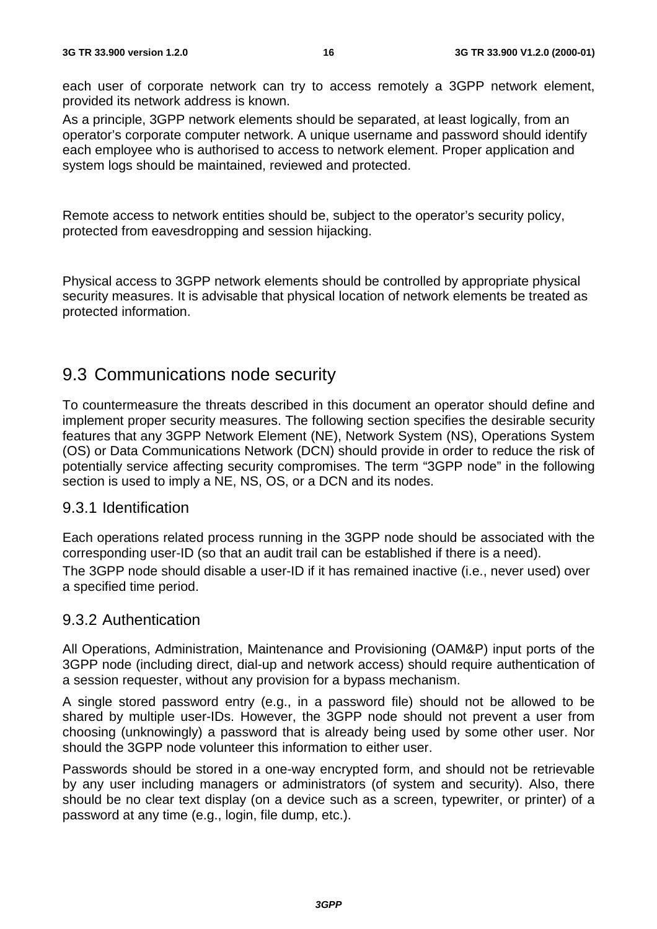each user of corporate network can try to access remotely a 3GPP network element, provided its network address is known.

As a principle, 3GPP network elements should be separated, at least logically, from an operator's corporate computer network. A unique username and password should identify each employee who is authorised to access to network element. Proper application and system logs should be maintained, reviewed and protected.

Remote access to network entities should be, subject to the operator's security policy, protected from eavesdropping and session hijacking.

Physical access to 3GPP network elements should be controlled by appropriate physical security measures. It is advisable that physical location of network elements be treated as protected information.

# 9.3 Communications node security

To countermeasure the threats described in this document an operator should define and implement proper security measures. The following section specifies the desirable security features that any 3GPP Network Element (NE), Network System (NS), Operations System (OS) or Data Communications Network (DCN) should provide in order to reduce the risk of potentially service affecting security compromises. The term "3GPP node" in the following section is used to imply a NE, NS, OS, or a DCN and its nodes.

# 9.3.1 Identification

Each operations related process running in the 3GPP node should be associated with the corresponding user-ID (so that an audit trail can be established if there is a need).

The 3GPP node should disable a user-ID if it has remained inactive (i.e., never used) over a specified time period.

# 9.3.2 Authentication

All Operations, Administration, Maintenance and Provisioning (OAM&P) input ports of the 3GPP node (including direct, dial-up and network access) should require authentication of a session requester, without any provision for a bypass mechanism.

A single stored password entry (e.g., in a password file) should not be allowed to be shared by multiple user-IDs. However, the 3GPP node should not prevent a user from choosing (unknowingly) a password that is already being used by some other user. Nor should the 3GPP node volunteer this information to either user.

Passwords should be stored in a one-way encrypted form, and should not be retrievable by any user including managers or administrators (of system and security). Also, there should be no clear text display (on a device such as a screen, typewriter, or printer) of a password at any time (e.g., login, file dump, etc.).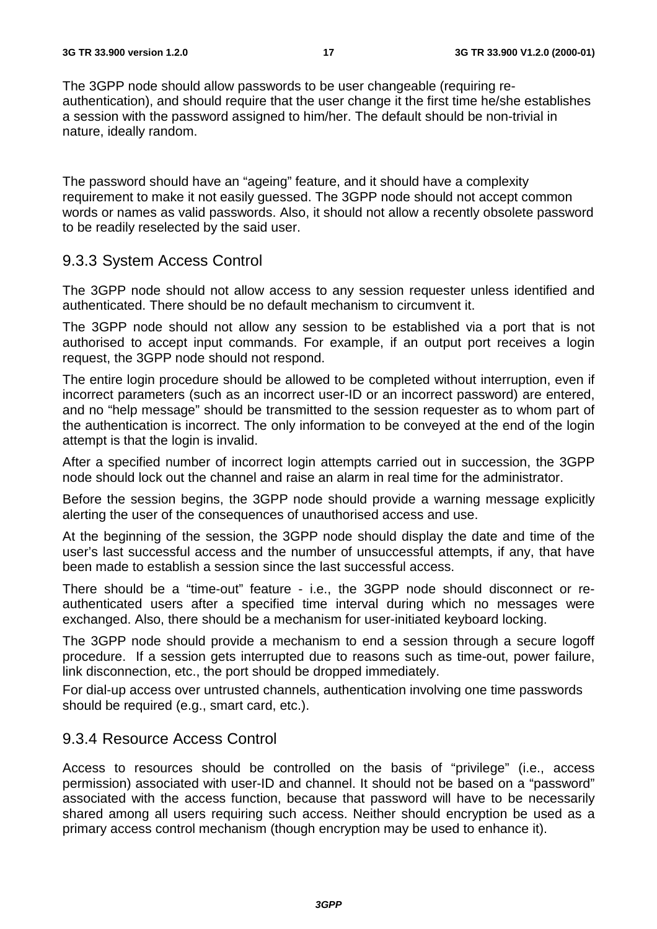The 3GPP node should allow passwords to be user changeable (requiring reauthentication), and should require that the user change it the first time he/she establishes a session with the password assigned to him/her. The default should be non-trivial in nature, ideally random.

The password should have an "ageing" feature, and it should have a complexity requirement to make it not easily guessed. The 3GPP node should not accept common words or names as valid passwords. Also, it should not allow a recently obsolete password to be readily reselected by the said user.

# 9.3.3 System Access Control

The 3GPP node should not allow access to any session requester unless identified and authenticated. There should be no default mechanism to circumvent it.

The 3GPP node should not allow any session to be established via a port that is not authorised to accept input commands. For example, if an output port receives a login request, the 3GPP node should not respond.

The entire login procedure should be allowed to be completed without interruption, even if incorrect parameters (such as an incorrect user-ID or an incorrect password) are entered, and no "help message" should be transmitted to the session requester as to whom part of the authentication is incorrect. The only information to be conveyed at the end of the login attempt is that the login is invalid.

After a specified number of incorrect login attempts carried out in succession, the 3GPP node should lock out the channel and raise an alarm in real time for the administrator.

Before the session begins, the 3GPP node should provide a warning message explicitly alerting the user of the consequences of unauthorised access and use.

At the beginning of the session, the 3GPP node should display the date and time of the user's last successful access and the number of unsuccessful attempts, if any, that have been made to establish a session since the last successful access.

There should be a "time-out" feature - i.e., the 3GPP node should disconnect or reauthenticated users after a specified time interval during which no messages were exchanged. Also, there should be a mechanism for user-initiated keyboard locking.

The 3GPP node should provide a mechanism to end a session through a secure logoff procedure. If a session gets interrupted due to reasons such as time-out, power failure, link disconnection, etc., the port should be dropped immediately.

For dial-up access over untrusted channels, authentication involving one time passwords should be required (e.g., smart card, etc.).

# 9.3.4 Resource Access Control

Access to resources should be controlled on the basis of "privilege" (i.e., access permission) associated with user-ID and channel. It should not be based on a "password" associated with the access function, because that password will have to be necessarily shared among all users requiring such access. Neither should encryption be used as a primary access control mechanism (though encryption may be used to enhance it).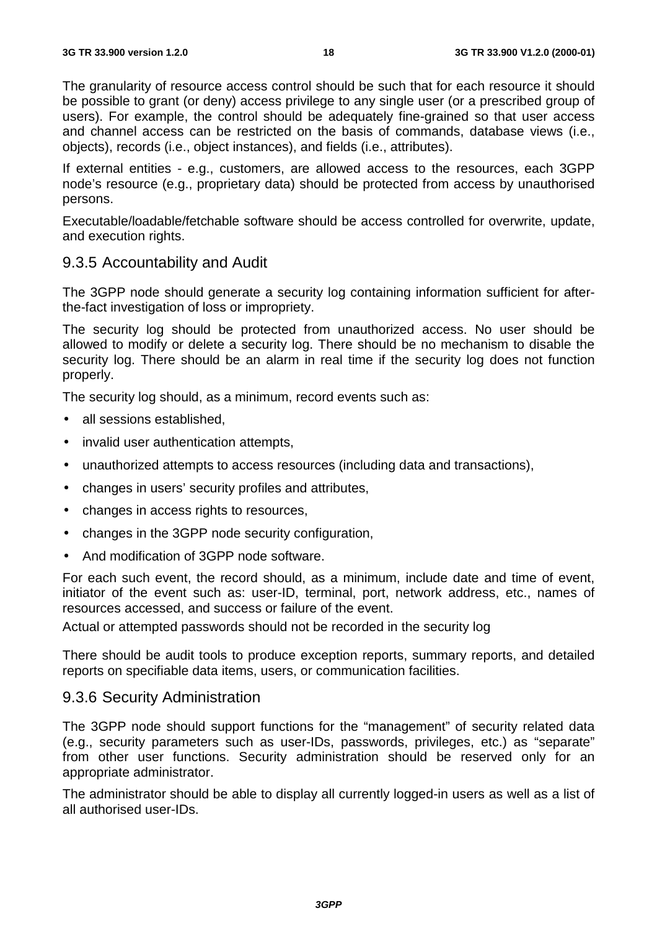The granularity of resource access control should be such that for each resource it should be possible to grant (or deny) access privilege to any single user (or a prescribed group of users). For example, the control should be adequately fine-grained so that user access and channel access can be restricted on the basis of commands, database views (i.e., objects), records (i.e., object instances), and fields (i.e., attributes).

If external entities - e.g., customers, are allowed access to the resources, each 3GPP node's resource (e.g., proprietary data) should be protected from access by unauthorised persons.

Executable/loadable/fetchable software should be access controlled for overwrite, update, and execution rights.

# 9.3.5 Accountability and Audit

The 3GPP node should generate a security log containing information sufficient for afterthe-fact investigation of loss or impropriety.

The security log should be protected from unauthorized access. No user should be allowed to modify or delete a security log. There should be no mechanism to disable the security log. There should be an alarm in real time if the security log does not function properly.

The security log should, as a minimum, record events such as:

- all sessions established.
- invalid user authentication attempts,
- unauthorized attempts to access resources (including data and transactions),
- changes in users' security profiles and attributes,
- changes in access rights to resources,
- changes in the 3GPP node security configuration,
- And modification of 3GPP node software.

For each such event, the record should, as a minimum, include date and time of event, initiator of the event such as: user-ID, terminal, port, network address, etc., names of resources accessed, and success or failure of the event.

Actual or attempted passwords should not be recorded in the security log

There should be audit tools to produce exception reports, summary reports, and detailed reports on specifiable data items, users, or communication facilities.

### 9.3.6 Security Administration

The 3GPP node should support functions for the "management" of security related data (e.g., security parameters such as user-IDs, passwords, privileges, etc.) as "separate" from other user functions. Security administration should be reserved only for an appropriate administrator.

The administrator should be able to display all currently logged-in users as well as a list of all authorised user-IDs.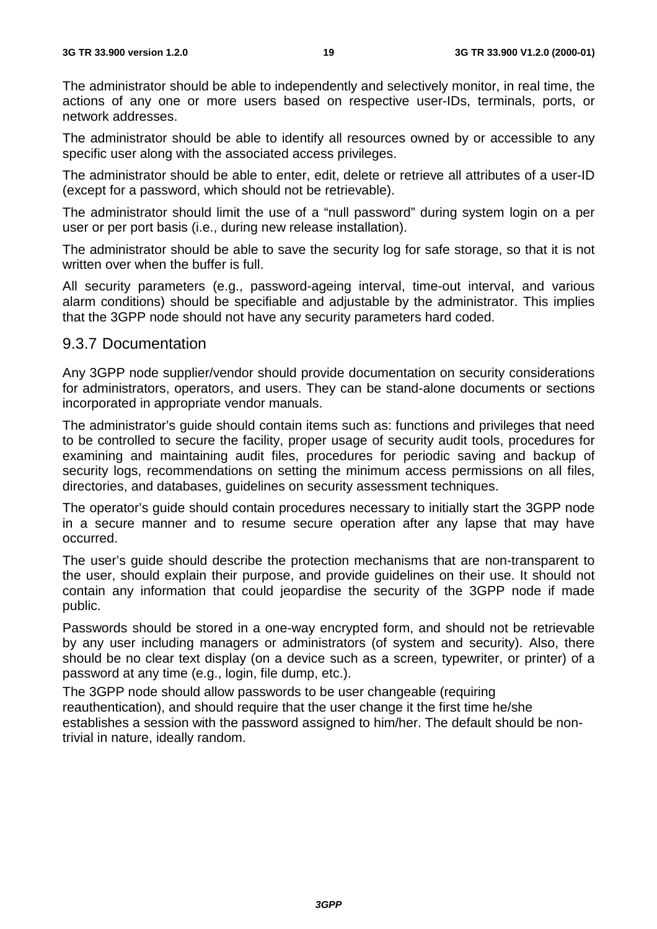The administrator should be able to independently and selectively monitor, in real time, the actions of any one or more users based on respective user-IDs, terminals, ports, or network addresses.

The administrator should be able to identify all resources owned by or accessible to any specific user along with the associated access privileges.

The administrator should be able to enter, edit, delete or retrieve all attributes of a user-ID (except for a password, which should not be retrievable).

The administrator should limit the use of a "null password" during system login on a per user or per port basis (i.e., during new release installation).

The administrator should be able to save the security log for safe storage, so that it is not written over when the buffer is full.

All security parameters (e.g., password-ageing interval, time-out interval, and various alarm conditions) should be specifiable and adjustable by the administrator. This implies that the 3GPP node should not have any security parameters hard coded.

### 9.3.7 Documentation

Any 3GPP node supplier/vendor should provide documentation on security considerations for administrators, operators, and users. They can be stand-alone documents or sections incorporated in appropriate vendor manuals.

The administrator's guide should contain items such as: functions and privileges that need to be controlled to secure the facility, proper usage of security audit tools, procedures for examining and maintaining audit files, procedures for periodic saving and backup of security logs, recommendations on setting the minimum access permissions on all files, directories, and databases, guidelines on security assessment techniques.

The operator's guide should contain procedures necessary to initially start the 3GPP node in a secure manner and to resume secure operation after any lapse that may have occurred.

The user's guide should describe the protection mechanisms that are non-transparent to the user, should explain their purpose, and provide guidelines on their use. It should not contain any information that could jeopardise the security of the 3GPP node if made public.

Passwords should be stored in a one-way encrypted form, and should not be retrievable by any user including managers or administrators (of system and security). Also, there should be no clear text display (on a device such as a screen, typewriter, or printer) of a password at any time (e.g., login, file dump, etc.).

The 3GPP node should allow passwords to be user changeable (requiring reauthentication), and should require that the user change it the first time he/she establishes a session with the password assigned to him/her. The default should be nontrivial in nature, ideally random.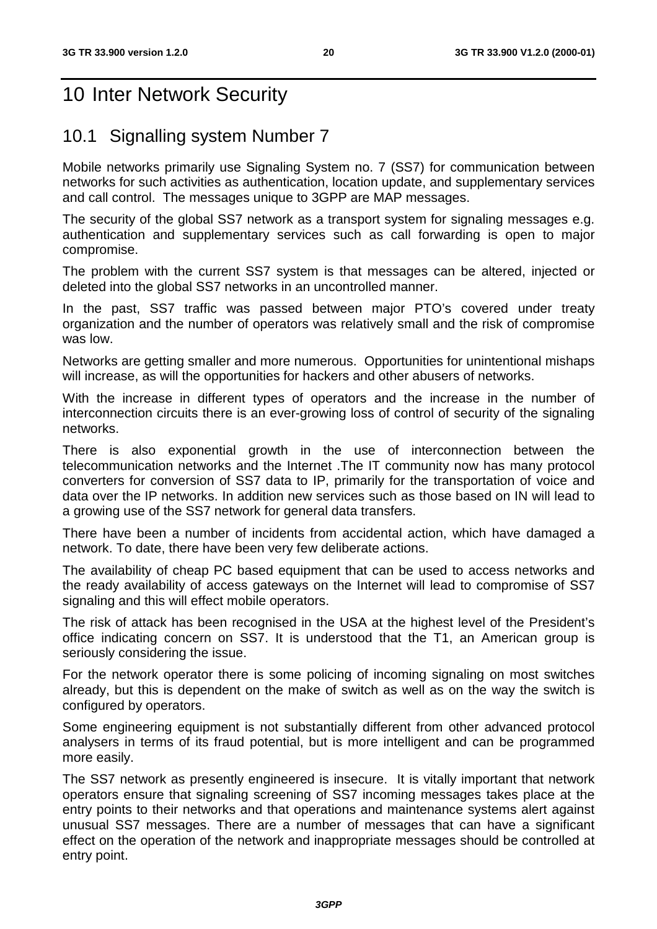# 10 Inter Network Security

# 10.1 Signalling system Number 7

Mobile networks primarily use Signaling System no. 7 (SS7) for communication between networks for such activities as authentication, location update, and supplementary services and call control. The messages unique to 3GPP are MAP messages.

The security of the global SS7 network as a transport system for signaling messages e.g. authentication and supplementary services such as call forwarding is open to major compromise.

The problem with the current SS7 system is that messages can be altered, injected or deleted into the global SS7 networks in an uncontrolled manner.

In the past, SS7 traffic was passed between major PTO's covered under treaty organization and the number of operators was relatively small and the risk of compromise was low.

Networks are getting smaller and more numerous. Opportunities for unintentional mishaps will increase, as will the opportunities for hackers and other abusers of networks.

With the increase in different types of operators and the increase in the number of interconnection circuits there is an ever-growing loss of control of security of the signaling networks.

There is also exponential growth in the use of interconnection between the telecommunication networks and the Internet .The IT community now has many protocol converters for conversion of SS7 data to IP, primarily for the transportation of voice and data over the IP networks. In addition new services such as those based on IN will lead to a growing use of the SS7 network for general data transfers.

There have been a number of incidents from accidental action, which have damaged a network. To date, there have been very few deliberate actions.

The availability of cheap PC based equipment that can be used to access networks and the ready availability of access gateways on the Internet will lead to compromise of SS7 signaling and this will effect mobile operators.

The risk of attack has been recognised in the USA at the highest level of the President's office indicating concern on SS7. It is understood that the T1, an American group is seriously considering the issue.

For the network operator there is some policing of incoming signaling on most switches already, but this is dependent on the make of switch as well as on the way the switch is configured by operators.

Some engineering equipment is not substantially different from other advanced protocol analysers in terms of its fraud potential, but is more intelligent and can be programmed more easily.

The SS7 network as presently engineered is insecure. It is vitally important that network operators ensure that signaling screening of SS7 incoming messages takes place at the entry points to their networks and that operations and maintenance systems alert against unusual SS7 messages. There are a number of messages that can have a significant effect on the operation of the network and inappropriate messages should be controlled at entry point.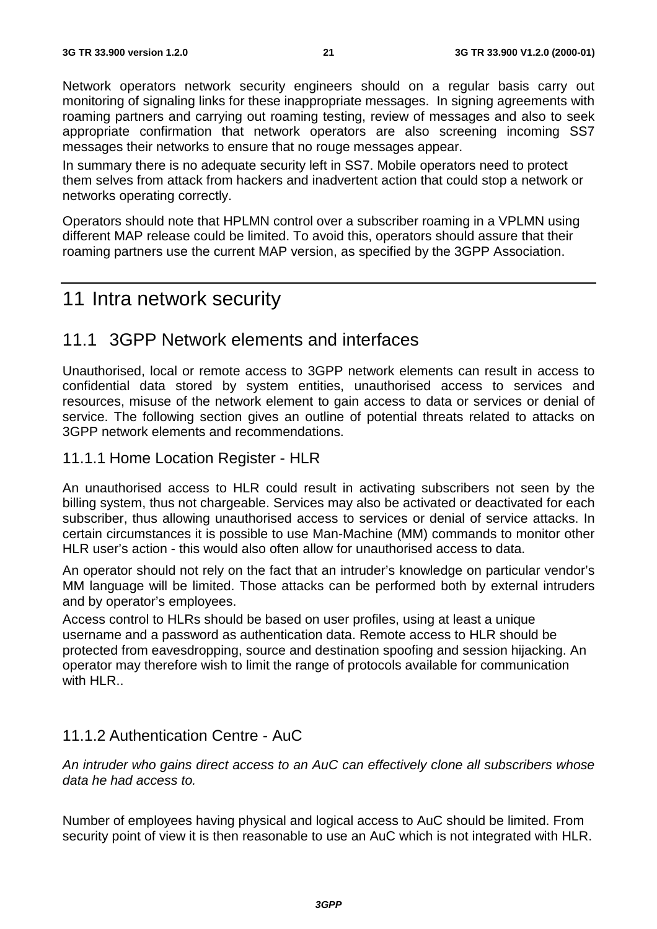Network operators network security engineers should on a regular basis carry out monitoring of signaling links for these inappropriate messages. In signing agreements with roaming partners and carrying out roaming testing, review of messages and also to seek appropriate confirmation that network operators are also screening incoming SS7 messages their networks to ensure that no rouge messages appear.

In summary there is no adequate security left in SS7. Mobile operators need to protect them selves from attack from hackers and inadvertent action that could stop a network or networks operating correctly.

Operators should note that HPLMN control over a subscriber roaming in a VPLMN using different MAP release could be limited. To avoid this, operators should assure that their roaming partners use the current MAP version, as specified by the 3GPP Association.

# 11 Intra network security

# 11.1 3GPP Network elements and interfaces

Unauthorised, local or remote access to 3GPP network elements can result in access to confidential data stored by system entities, unauthorised access to services and resources, misuse of the network element to gain access to data or services or denial of service. The following section gives an outline of potential threats related to attacks on 3GPP network elements and recommendations.

### 11.1.1 Home Location Register - HLR

An unauthorised access to HLR could result in activating subscribers not seen by the billing system, thus not chargeable. Services may also be activated or deactivated for each subscriber, thus allowing unauthorised access to services or denial of service attacks. In certain circumstances it is possible to use Man-Machine (MM) commands to monitor other HLR user's action - this would also often allow for unauthorised access to data.

An operator should not rely on the fact that an intruder's knowledge on particular vendor's MM language will be limited. Those attacks can be performed both by external intruders and by operator's employees.

Access control to HLRs should be based on user profiles, using at least a unique username and a password as authentication data. Remote access to HLR should be protected from eavesdropping, source and destination spoofing and session hijacking. An operator may therefore wish to limit the range of protocols available for communication with HLR..

# 11.1.2 Authentication Centre - AuC

An intruder who gains direct access to an AuC can effectively clone all subscribers whose data he had access to.

Number of employees having physical and logical access to AuC should be limited. From security point of view it is then reasonable to use an AuC which is not integrated with HLR.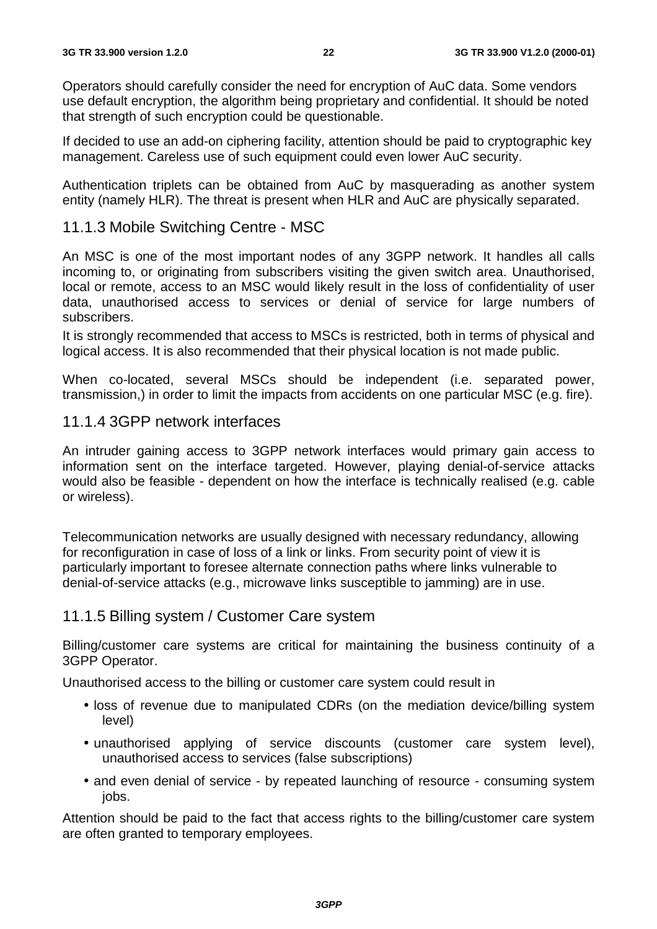Operators should carefully consider the need for encryption of AuC data. Some vendors use default encryption, the algorithm being proprietary and confidential. It should be noted that strength of such encryption could be questionable.

If decided to use an add-on ciphering facility, attention should be paid to cryptographic key management. Careless use of such equipment could even lower AuC security.

Authentication triplets can be obtained from AuC by masquerading as another system entity (namely HLR). The threat is present when HLR and AuC are physically separated.

# 11.1.3 Mobile Switching Centre - MSC

An MSC is one of the most important nodes of any 3GPP network. It handles all calls incoming to, or originating from subscribers visiting the given switch area. Unauthorised, local or remote, access to an MSC would likely result in the loss of confidentiality of user data, unauthorised access to services or denial of service for large numbers of subscribers.

It is strongly recommended that access to MSCs is restricted, both in terms of physical and logical access. It is also recommended that their physical location is not made public.

When co-located, several MSCs should be independent (i.e. separated power, transmission,) in order to limit the impacts from accidents on one particular MSC (e.g. fire).

### 11.1.4 3GPP network interfaces

An intruder gaining access to 3GPP network interfaces would primary gain access to information sent on the interface targeted. However, playing denial-of-service attacks would also be feasible - dependent on how the interface is technically realised (e.g. cable or wireless).

Telecommunication networks are usually designed with necessary redundancy, allowing for reconfiguration in case of loss of a link or links. From security point of view it is particularly important to foresee alternate connection paths where links vulnerable to denial-of-service attacks (e.g., microwave links susceptible to jamming) are in use.

# 11.1.5 Billing system / Customer Care system

Billing/customer care systems are critical for maintaining the business continuity of a 3GPP Operator.

Unauthorised access to the billing or customer care system could result in

- loss of revenue due to manipulated CDRs (on the mediation device/billing system level)
- unauthorised applying of service discounts (customer care system level), unauthorised access to services (false subscriptions)
- and even denial of service by repeated launching of resource consuming system jobs.

Attention should be paid to the fact that access rights to the billing/customer care system are often granted to temporary employees.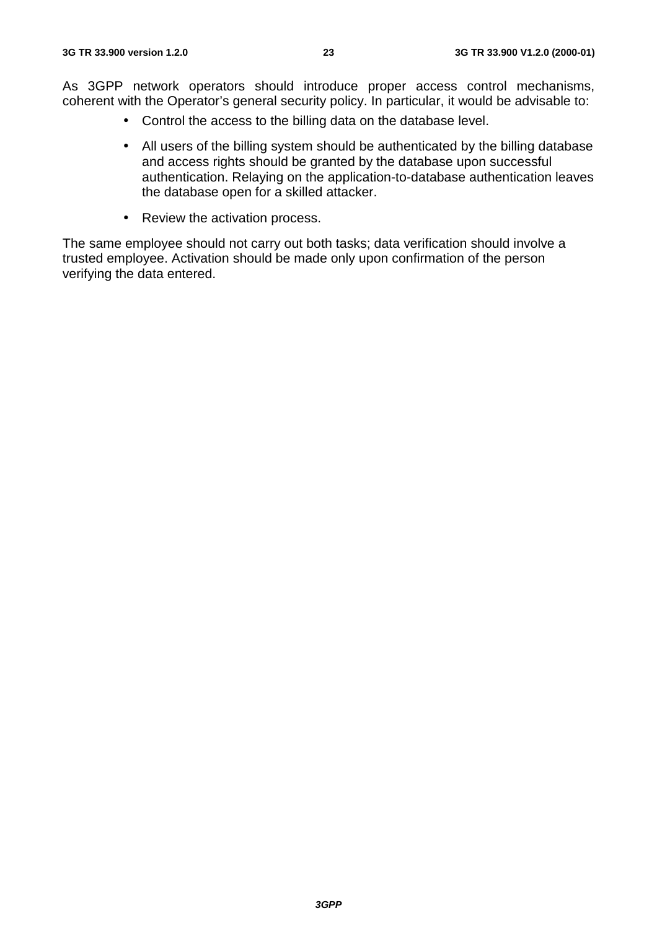As 3GPP network operators should introduce proper access control mechanisms, coherent with the Operator's general security policy. In particular, it would be advisable to:

- Control the access to the billing data on the database level.
- All users of the billing system should be authenticated by the billing database and access rights should be granted by the database upon successful authentication. Relaying on the application-to-database authentication leaves the database open for a skilled attacker.
- Review the activation process.

The same employee should not carry out both tasks; data verification should involve a trusted employee. Activation should be made only upon confirmation of the person verifying the data entered.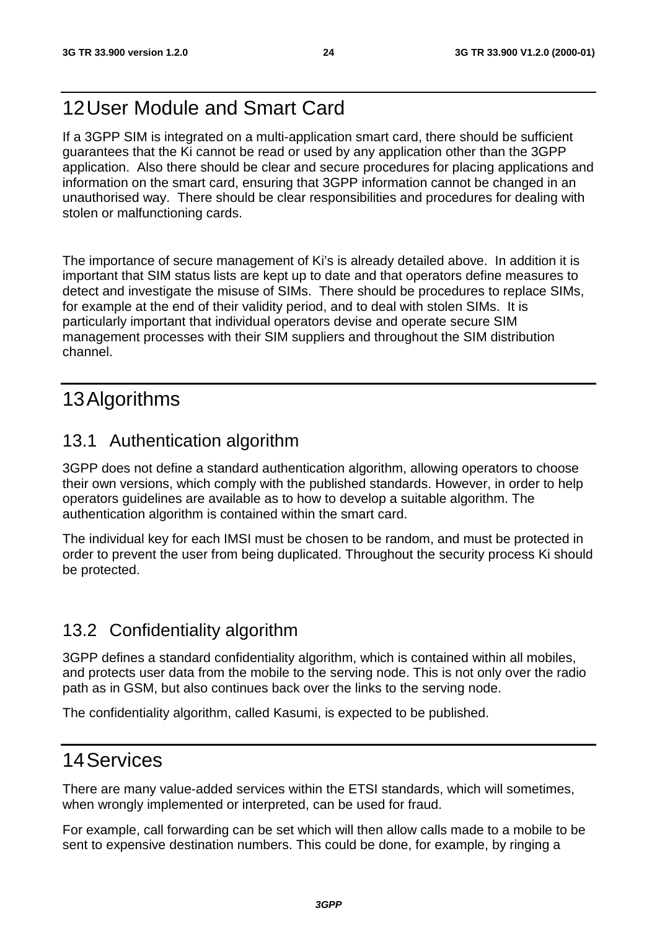# 12 User Module and Smart Card

If a 3GPP SIM is integrated on a multi-application smart card, there should be sufficient guarantees that the Ki cannot be read or used by any application other than the 3GPP application. Also there should be clear and secure procedures for placing applications and information on the smart card, ensuring that 3GPP information cannot be changed in an unauthorised way. There should be clear responsibilities and procedures for dealing with stolen or malfunctioning cards.

The importance of secure management of Ki's is already detailed above. In addition it is important that SIM status lists are kept up to date and that operators define measures to detect and investigate the misuse of SIMs. There should be procedures to replace SIMs, for example at the end of their validity period, and to deal with stolen SIMs. It is particularly important that individual operators devise and operate secure SIM management processes with their SIM suppliers and throughout the SIM distribution channel.

# 13 Algorithms

# 13.1 Authentication algorithm

3GPP does not define a standard authentication algorithm, allowing operators to choose their own versions, which comply with the published standards. However, in order to help operators guidelines are available as to how to develop a suitable algorithm. The authentication algorithm is contained within the smart card.

The individual key for each IMSI must be chosen to be random, and must be protected in order to prevent the user from being duplicated. Throughout the security process Ki should be protected.

# 13.2 Confidentiality algorithm

3GPP defines a standard confidentiality algorithm, which is contained within all mobiles, and protects user data from the mobile to the serving node. This is not only over the radio path as in GSM, but also continues back over the links to the serving node.

The confidentiality algorithm, called Kasumi, is expected to be published.

# 14 Services

There are many value-added services within the ETSI standards, which will sometimes, when wrongly implemented or interpreted, can be used for fraud.

For example, call forwarding can be set which will then allow calls made to a mobile to be sent to expensive destination numbers. This could be done, for example, by ringing a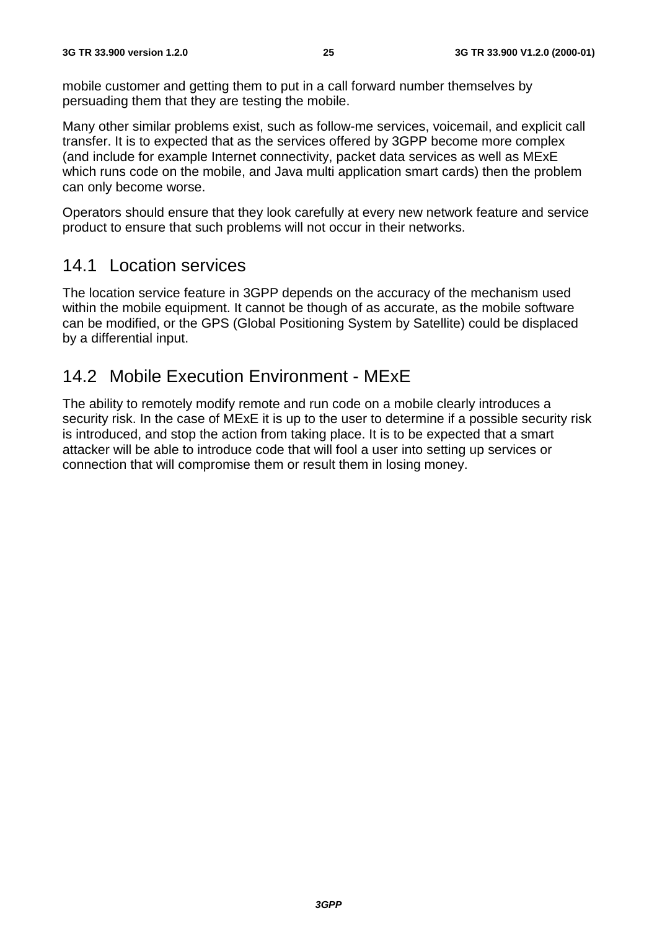mobile customer and getting them to put in a call forward number themselves by persuading them that they are testing the mobile.

Many other similar problems exist, such as follow-me services, voicemail, and explicit call transfer. It is to expected that as the services offered by 3GPP become more complex (and include for example Internet connectivity, packet data services as well as MExE which runs code on the mobile, and Java multi application smart cards) then the problem can only become worse.

Operators should ensure that they look carefully at every new network feature and service product to ensure that such problems will not occur in their networks.

# 14.1 Location services

The location service feature in 3GPP depends on the accuracy of the mechanism used within the mobile equipment. It cannot be though of as accurate, as the mobile software can be modified, or the GPS (Global Positioning System by Satellite) could be displaced by a differential input.

# 14.2 Mobile Execution Environment - MExE

The ability to remotely modify remote and run code on a mobile clearly introduces a security risk. In the case of MExE it is up to the user to determine if a possible security risk is introduced, and stop the action from taking place. It is to be expected that a smart attacker will be able to introduce code that will fool a user into setting up services or connection that will compromise them or result them in losing money.